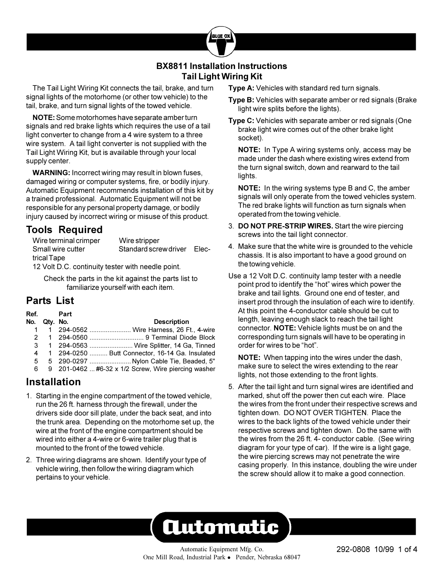## **BX8811 Installation Instructions Tail Light Wiring Kit**

**RILFO** 

The Tail Light Wiring Kit connects the tail, brake, and turn signal lights of the motorhome (or other tow vehicle) to the tail, brake, and turn signal lights of the towed vehicle.

**NOTE:** Some motorhomes have separate amber turn signals and red brake lights which requires the use of a tail light converter to change from a 4 wire system to a three wire system. A tail light converter is not supplied with the Tail Light Wiring Kit, but is available through your local supply center.

**WARNING:** Incorrect wiring may result in blown fuses, damaged wiring or computer systems, fire, or bodily injury. Automatic Equipment recommends installation of this kit by a trained professional. Automatic Equipment will not be responsible for any personal property damage, or bodily injury caused by incorrect wiring or misuse of this product.

# **Tools Required**

Wire terminal crimper Wire stripper Small wire cutter Standard screw driver Electrical Tape

12 Volt D.C. continuity tester with needle point.

Check the parts in the kit against the parts list to familiarize yourself with each item.

# **Parts List**

| Ref. |              | Part |                                                     |
|------|--------------|------|-----------------------------------------------------|
| No.  | Qty. No.     |      | <b>Description</b>                                  |
|      |              |      | 294-0562  Wire Harness, 26 Ft., 4-wire              |
|      | $\mathbf{1}$ |      |                                                     |
| 3    |              |      | 1 294-0563  Wire Splitter, 14 Ga, Tinned            |
| 4    |              |      | 1 294-0250  Butt Connector, 16-14 Ga. Insulated     |
| 5    |              |      | 5 290-0297  Nylon Cable Tie, Beaded, 5"             |
| 6    |              |      | 9 201-0462  #6-32 x 1/2 Screw, Wire piercing washer |
|      |              |      |                                                     |

## **Installation**

- 1. Starting in the engine compartment of the towed vehicle, run the 26 ft. harness through the firewall, under the drivers side door sill plate, under the back seat, and into the trunk area. Depending on the motorhome set up, the wire at the front of the engine compartment should be wired into either a 4-wire or 6-wire trailer plug that is mounted to the front of the towed vehicle.
- 2. Three wiring diagrams are shown. Identify your type of vehicle wiring, then follow the wiring diagram which pertains to your vehicle.

**Type A:** Vehicles with standard red turn signals.

- **Type B:** Vehicles with separate amber or red signals (Brake light wire splits before the lights).
- **Type C:** Vehicles with separate amber or red signals (One brake light wire comes out of the other brake light socket).

**NOTE:** In Type A wiring systems only, access may be made under the dash where existing wires extend from the turn signal switch, down and rearward to the tail lights.

**NOTE:** In the wiring systems type B and C, the amber signals will only operate from the towed vehicles system. The red brake lights will function as turn signals when operated from the towing vehicle.

- 3. **DO NOT PRE-STRIP WIRES.** Start the wire piercing screws into the tail light connector.
- 4. Make sure that the white wire is grounded to the vehicle chassis. It is also important to have a good ground on the towing vehicle.
- Use a 12 Volt D.C. continuity lamp tester with a needle point prod to identify the "hot" wires which power the brake and tail lights. Ground one end of tester, and insert prod through the insulation of each wire to identify. At this point the 4-conductor cable should be cut to length, leaving enough slack to reach the tail light connector. **NOTE:** Vehicle lights must be on and the corresponding turn signals will have to be operating in order for wires to be "hot".

**NOTE:** When tapping into the wires under the dash, make sure to select the wires extending to the rear lights, not those extending to the front lights.

5. After the tail light and turn signal wires are identified and marked, shut off the power then cut each wire. Place the wires from the front under their respective screws and tighten down. DO NOT OVER TIGHTEN.Place the wires to the back lights of the towed vehicle under their respective screws and tighten down. Do the same with the wires from the 26 ft. 4- conductor cable. (See wiring diagram for your type of car). If the wire is a light gage, the wire piercing screws may not penetrate the wire casing properly. In this instance, doubling the wire under the screw should allow it to make a good connection.

# **Automatic**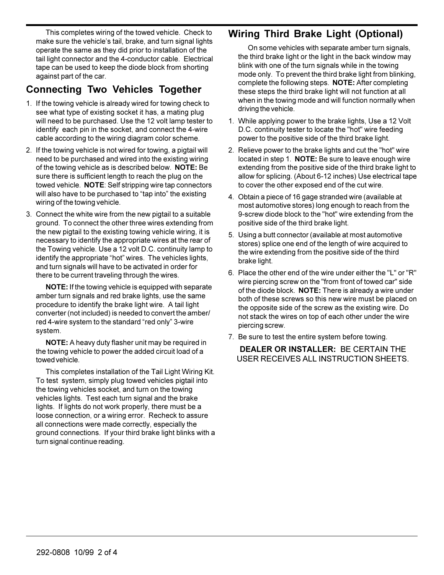This completes wiring of the towed vehicle. Check to make sure the vehicle's tail, brake, and turn signal lights operate the same as they did prior to installation of the tail light connector and the 4-conductor cable. Electrical tape can be used to keep the diode block from shorting against part of the car.

## **Connecting Two Vehicles Together**

- 1. If the towing vehicle is already wired for towing check to see what type of existing socket it has, a mating plug will need to be purchased. Use the 12 volt lamp tester to identify each pin in the socket, and connect the 4-wire cable according to the wiring diagram color scheme.
- 2. If the towing vehicle is not wired for towing, a pigtail will need to be purchased and wired into the existing wiring of the towing vehicle as is described below. **NOTE:** Be sure there is sufficient length to reach the plug on the towed vehicle. **NOTE**: Self stripping wire tap connectors will also have to be purchased to "tap into" the existing wiring of the towing vehicle.
- 3. Connect the white wire from the new pigtail to a suitable ground. To connect the other three wires extending from the new pigtail to the existing towing vehicle wiring, it is necessary to identify the appropriate wires at the rear of the Towing vehicle. Use a 12 volt D.C. continuity lamp to identify the appropriate "hot" wires. The vehicles lights, and turn signals will have to be activated in order for there to be current traveling through the wires.

**NOTE:** If the towing vehicle is equipped with separate amber turn signals and red brake lights, use the same procedure to identify the brake light wire. A tail light converter (not included) is needed to convert the amber/ red 4-wire system to the standard "red only" 3-wire system.

**NOTE:** A heavy duty flasher unit may be required in the towing vehicle to power the added circuit load of a towed vehicle.

This completes installation of the Tail Light Wiring Kit. To test system, simply plug towed vehicles pigtail into the towing vehicles socket, and turn on the towing vehicles lights. Test each turn signal and the brake lights. If lights do not work properly, there must be a loose connection, or a wiring error. Recheck to assure all connections were made correctly, especially the ground connections. If your third brake light blinks with a turn signal continue reading.

# **Wiring Third Brake Light (Optional)**

On some vehicles with separate amber turn signals, the third brake light or the light in the back window may blink with one of the turn signals while in the towing mode only. To prevent the third brake light from blinking, complete the following steps. **NOTE:** After completing these steps the third brake light will not function at all when in the towing mode and will function normally when driving the vehicle.

- 1. While applying power to the brake lights, Use a 12 Volt D.C. continuity tester to locate the "hot" wire feeding power to the positive side of the third brake light.
- 2. Relieve power to the brake lights and cut the "hot" wire located in step 1. **NOTE:** Be sure to leave enough wire extending from the positive side of the third brake light to allow for splicing. (About 6-12 inches) Use electrical tape to cover the other exposed end of the cut wire.
- 4. Obtain a piece of 16 gage stranded wire (available at most automotive stores) long enough to reach from the 9-screw diode block to the "hot" wire extending from the positive side of the third brake light.
- 5. Using a butt connector (available at most automotive stores) splice one end of the length of wire acquired to the wire extending from the positive side of the third brake light.
- 6. Place the other end of the wire under either the "L" or "R" wire piercing screw on the "from front of towed car" side of the diode block. **NOTE:** There is already a wire under both of these screws so this new wire must be placed on the opposite side of the screw as the existing wire. Do not stack the wires on top of each other under the wire piercing screw.
- 7. Be sure to test the entire system before towing.

**DEALER OR INSTALLER:** BE CERTAIN THE USER RECEIVES ALL INSTRUCTION SHEETS.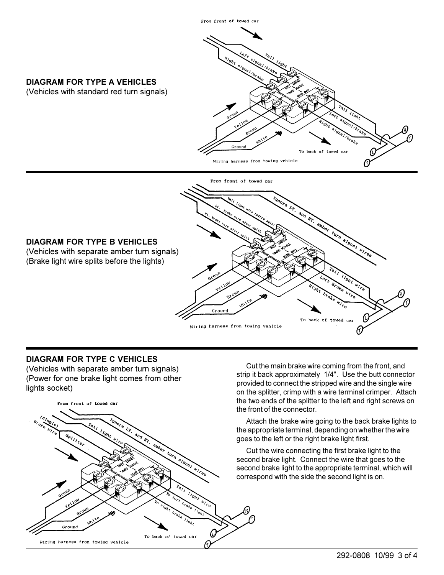

### **DIAGRAM FOR TYPE C VEHICLES**

(Vehicles with separate amber turn signals) (Power for one brake light comes from other lights socket)



Cut the main brake wire coming from the front, and strip it back approximately 1/4". Use the butt connector provided to connect the stripped wire and the single wire on the splitter, crimp with a wire terminal crimper. Attach the two ends of the splitter to the left and right screws on the front of the connector.

Attach the brake wire going to the back brake lights to the appropriate terminal, depending on whether the wire goes to the left or the right brake light first.

Cut the wire connecting the first brake light to the second brake light. Connect the wire that goes to the second brake light to the appropriate terminal, which will correspond with the side the second light is on.